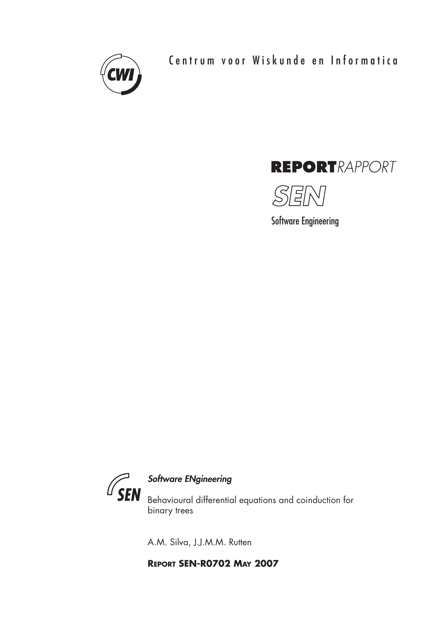

Centrum voor Wiskunde en Informatica





Software Engineering



*Software ENgineering*

Behavioural differential equations and coinduction for binary trees

A.M. Silva, J.J.M.M. Rutten

**REPORT SEN-R0702 MAY 2007**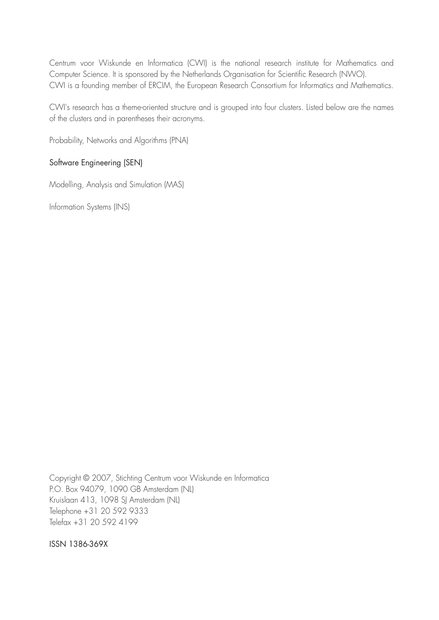Centrum voor Wiskunde en Informatica (CWI) is the national research institute for Mathematics and Computer Science. It is sponsored by the Netherlands Organisation for Scientific Research (NWO). CWI is a founding member of ERCIM, the European Research Consortium for Informatics and Mathematics.

CWI's research has a theme-oriented structure and is grouped into four clusters. Listed below are the names of the clusters and in parentheses their acronyms.

Probability, Networks and Algorithms (PNA)

## Software Engineering (SEN)

Modelling, Analysis and Simulation (MAS)

Information Systems (INS)

Copyright © 2007, Stichting Centrum voor Wiskunde en Informatica P.O. Box 94079, 1090 GB Amsterdam (NL) Kruislaan 413, 1098 SJ Amsterdam (NL) Telephone +31 20 592 9333 Telefax +31 20 592 4199

ISSN 1386-369X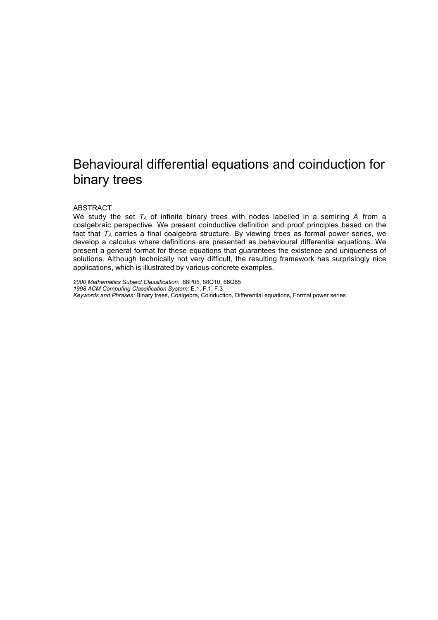# Behavioural differential equations and coinduction for binary trees

### ABSTRACT

We study the set *TA* of infinite binary trees with nodes labelled in a semiring *A* from a coalgebraic perspective. We present coinductive definition and proof principles based on the fact that  $T_A$  carries a final coalgebra structure. By viewing trees as formal power series, we develop a calculus where definitions are presented as behavioural differential equations. We present a general format for these equations that guarantees the existence and uniqueness of solutions. Although technically not very difficult, the resulting framework has surprisingly nice applications, which is illustrated by various concrete examples.

*2000 Mathematics Subject Classification:* 68P05, 68Q10, 68Q85 *1998 ACM Computing Classification System:* E.1, F.1, F.3 *Keywords and Phrases:* Binary trees, Coalgebra, Coinduction, Differential equations, Formal power series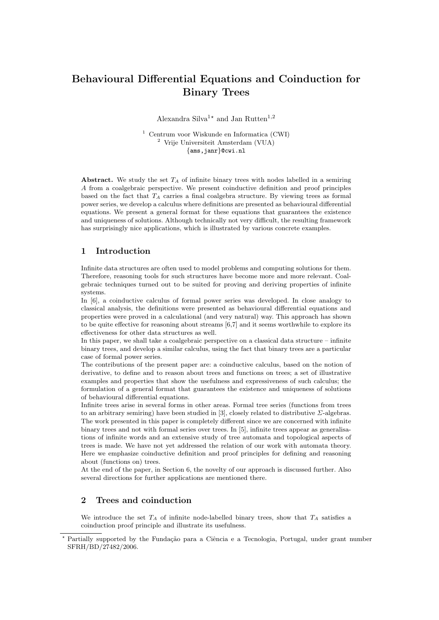## Behavioural Differential Equations and Coinduction for Binary Trees

Alexandra Silva $^{1\star}$  and Jan Rutten $^{1,2}$ 

<sup>1</sup> Centrum voor Wiskunde en Informatica (CWI) <sup>2</sup> Vrije Universiteit Amsterdam (VUA) {ams,janr}@cwi.nl

Abstract. We study the set  $T_A$  of infinite binary trees with nodes labelled in a semiring A from a coalgebraic perspective. We present coinductive definition and proof principles based on the fact that  $T_A$  carries a final coalgebra structure. By viewing trees as formal power series, we develop a calculus where definitions are presented as behavioural differential equations. We present a general format for these equations that guarantees the existence and uniqueness of solutions. Although technically not very difficult, the resulting framework has surprisingly nice applications, which is illustrated by various concrete examples.

## 1 Introduction

Infinite data structures are often used to model problems and computing solutions for them. Therefore, reasoning tools for such structures have become more and more relevant. Coalgebraic techniques turned out to be suited for proving and deriving properties of infinite systems.

In [6], a coinductive calculus of formal power series was developed. In close analogy to classical analysis, the definitions were presented as behavioural differential equations and properties were proved in a calculational (and very natural) way. This approach has shown to be quite effective for reasoning about streams [6,7] and it seems worthwhile to explore its effectiveness for other data structures as well.

In this paper, we shall take a coalgebraic perspective on a classical data structure – infinite binary trees, and develop a similar calculus, using the fact that binary trees are a particular case of formal power series.

The contributions of the present paper are: a coinductive calculus, based on the notion of derivative, to define and to reason about trees and functions on trees; a set of illustrative examples and properties that show the usefulness and expressiveness of such calculus; the formulation of a general format that guarantees the existence and uniqueness of solutions of behavioural differential equations.

Infinite trees arise in several forms in other areas. Formal tree series (functions from trees to an arbitrary semiring) have been studied in [3], closely related to distributive  $\Sigma$ -algebras. The work presented in this paper is completely different since we are concerned with infinite binary trees and not with formal series over trees. In [5], infinite trees appear as generalisations of infinite words and an extensive study of tree automata and topological aspects of trees is made. We have not yet addressed the relation of our work with automata theory. Here we emphasize coinductive definition and proof principles for defining and reasoning about (functions on) trees.

At the end of the paper, in Section 6, the novelty of our approach is discussed further. Also several directions for further applications are mentioned there.

## 2 Trees and coinduction

We introduce the set  $T_A$  of infinite node-labelled binary trees, show that  $T_A$  satisfies a coinduction proof principle and illustrate its usefulness.

Partially supported by the Fundação para a Ciência e a Tecnologia, Portugal, under grant number SFRH/BD/27482/2006.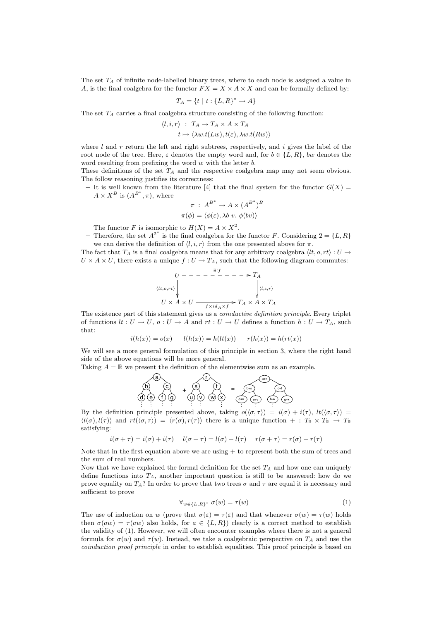The set  $T_A$  of infinite node-labelled binary trees, where to each node is assigned a value in A, is the final coalgebra for the functor  $FX = X \times A \times X$  and can be formally defined by:

$$
T_A = \{t \mid t : \{L, R\}^* \to A\}
$$

The set  $T_A$  carries a final coalgebra structure consisting of the following function:

$$
\langle l, i, r \rangle : T_A \to T_A \times A \times T_A
$$

$$
t \mapsto \langle \lambda w.t(Lw), t(\varepsilon), \lambda w.t(Rw) \rangle
$$

where  $l$  and  $r$  return the left and right subtrees, respectively, and  $i$  gives the label of the root node of the tree. Here,  $\varepsilon$  denotes the empty word and, for  $b \in \{L, R\}$ , bw denotes the word resulting from prefixing the word  $w$  with the letter  $b$ .

These definitions of the set  $T_A$  and the respective coalgebra map may not seem obvious. The follow reasoning justifies its correctness:

– It is well known from the literature [4] that the final system for the functor  $G(X)$  =  $A \times X^B$  is  $(A^{B^*}, \pi)$ , where

$$
\pi : A^{B^*} \to A \times (A^{B^*})^B
$$

$$
\pi(\phi) = \langle \phi(\varepsilon), \lambda b \ v. \ \phi(bv) \rangle
$$

- The functor F is isomorphic to  $H(X) = A \times X^2$ .
- Therefore, the set  $A^{2^*}$  is the final coalgebra for the functor F. Considering  $2 = \{L, R\}$ we can derive the definition of  $\langle l, i, r \rangle$  from the one presented above for  $\pi$ .

The fact that  $T_A$  is a final coalgebra means that for any arbitrary coalgebra  $\langle lt, o, rt \rangle : U \rightarrow$  $U \times A \times U$ , there exists a unique  $f: U \to T_A$ , such that the following diagram commutes:

$$
U - - - - \xrightarrow{f} I_A
$$
\n
$$
\langle u, v, v \rangle
$$
\n
$$
U \times A \times U
$$
\n
$$
U \times A \times U
$$
\n
$$
U \times \sum_{i=1}^{n} \frac{1}{\sqrt{u_i}} \times \sum_{j=1}^{n} \frac{1}{\sqrt{u_j}} \times \sum_{j=1}^{n} \frac{1}{\sqrt{u_j}} \times \sum_{j=1}^{n} \frac{1}{\sqrt{u_j}} \times \sum_{j=1}^{n} \frac{1}{\sqrt{u_j}} \times \sum_{j=1}^{n} \frac{1}{\sqrt{u_j}} \times \sum_{j=1}^{n} \frac{1}{\sqrt{u_j}} \times \sum_{j=1}^{n} \frac{1}{\sqrt{u_j}} \times \sum_{j=1}^{n} \frac{1}{\sqrt{u_j}} \times \sum_{j=1}^{n} \frac{1}{\sqrt{u_j}} \times \sum_{j=1}^{n} \frac{1}{\sqrt{u_j}} \times \sum_{j=1}^{n} \frac{1}{\sqrt{u_j}} \times \sum_{j=1}^{n} \frac{1}{\sqrt{u_j}} \times \sum_{j=1}^{n} \frac{1}{\sqrt{u_j}} \times \sum_{j=1}^{n} \frac{1}{\sqrt{u_j}} \times \sum_{j=1}^{n} \frac{1}{\sqrt{u_j}} \times \sum_{j=1}^{n} \frac{1}{\sqrt{u_j}} \times \sum_{j=1}^{n} \frac{1}{\sqrt{u_j}} \times \sum_{j=1}^{n} \frac{1}{\sqrt{u_j}} \times \sum_{j=1}^{n} \frac{1}{\sqrt{u_j}} \times \sum_{j=1}^{n} \frac{1}{\sqrt{u_j}} \times \sum_{j=1}^{n} \frac{1}{\sqrt{u_j}} \times \sum_{j=1}^{n} \frac{1}{\sqrt{u_j}} \times \sum_{j=1}^{n} \frac{1}{\sqrt{u_j}} \times \sum_{j=1}^{n} \frac{1}{\sqrt{u_j}} \times \sum_{j=1}^{n} \frac{1}{\sqrt{u_j}} \times \sum_{j=1}^{n} \frac{1}{\sqrt{u_j}} \times \sum_{j=1}^{n} \frac{1}{\sqrt{u_j}} \times \sum_{j=1}^{n} \frac{1}{\sqrt{u_j}} \times \sum_{j=1}^{n} \frac{1
$$

The existence part of this statement gives us a coinductive definition principle. Every triplet of functions  $lt: U \to U$ ,  $o: U \to A$  and  $rt: U \to U$  defines a function  $h: U \to T_A$ , such that:

$$
i(h(x)) = o(x)
$$
  $l(h(x)) = h(lt(x))$   $r(h(x)) = h(rt(x))$ 

We will see a more general formulation of this principle in section 3, where the right hand side of the above equations will be more general.

Taking  $A = \mathbb{R}$  we present the definition of the elementwise sum as an example.



By the definition principle presented above, taking  $o(\langle \sigma, \tau \rangle) = i(\sigma) + i(\tau)$ ,  $lt(\langle \sigma, \tau \rangle) =$  $\langle l(\sigma), l(\tau) \rangle$  and  $rt(\langle \sigma, \tau \rangle) = \langle r(\sigma), r(\tau) \rangle$  there is a unique function + :  $T_{\mathbb{R}} \times T_{\mathbb{R}} \to T_{\mathbb{R}}$ satisfying:

$$
i(\sigma + \tau) = i(\sigma) + i(\tau) \qquad l(\sigma + \tau) = l(\sigma) + l(\tau) \qquad r(\sigma + \tau) = r(\sigma) + r(\tau)
$$

Note that in the first equation above we are using + to represent both the sum of trees and the sum of real numbers.

Now that we have explained the formal definition for the set  $T_A$  and how one can uniquely define functions into  $T_A$ , another important question is still to be answered: how do we prove equality on  $T_A$ ? In order to prove that two trees  $\sigma$  and  $\tau$  are equal it is necessary and sufficient to prove

$$
\forall_{w \in \{L,R\}^*} \sigma(w) = \tau(w) \tag{1}
$$

The use of induction on w (prove that  $\sigma(\varepsilon) = \tau(\varepsilon)$  and that whenever  $\sigma(w) = \tau(w)$  holds then  $\sigma(aw) = \tau(aw)$  also holds, for  $a \in \{L, R\}$  clearly is a correct method to establish the validity of (1). However, we will often encounter examples where there is not a general formula for  $\sigma(w)$  and  $\tau(w)$ . Instead, we take a coalgebraic perspective on  $T_A$  and use the coinduction proof principle in order to establish equalities. This proof principle is based on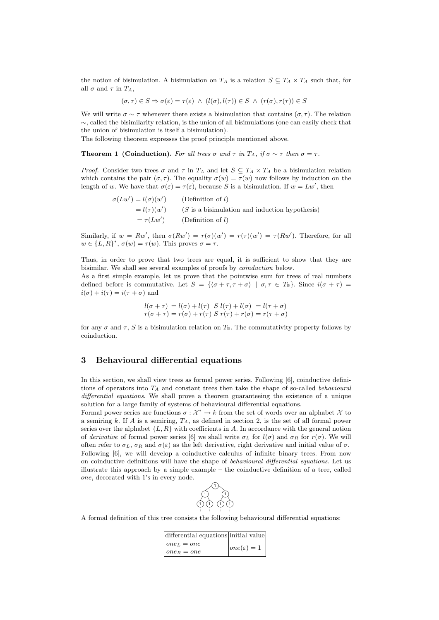the notion of bisimulation. A bisimulation on  $T_A$  is a relation  $S \subseteq T_A \times T_A$  such that, for all  $\sigma$  and  $\tau$  in  $T_A$ ,

$$
(\sigma, \tau) \in S \Rightarrow \sigma(\varepsilon) = \tau(\varepsilon) \land (l(\sigma), l(\tau)) \in S \land (r(\sigma), r(\tau)) \in S
$$

We will write  $\sigma \sim \tau$  whenever there exists a bisimulation that contains  $(\sigma, \tau)$ . The relation ∼, called the bisimilarity relation, is the union of all bisimulations (one can easily check that the union of bisimulation is itself a bisimulation).

The following theorem expresses the proof principle mentioned above.

**Theorem 1 (Coinduction).** For all trees  $\sigma$  and  $\tau$  in  $T_A$ , if  $\sigma \sim \tau$  then  $\sigma = \tau$ .

*Proof.* Consider two trees  $\sigma$  and  $\tau$  in  $T_A$  and let  $S \subseteq T_A \times T_A$  be a bisimulation relation which contains the pair  $(\sigma, \tau)$ . The equality  $\sigma(w) = \tau(w)$  now follows by induction on the length of w. We have that  $\sigma(\varepsilon) = \tau(\varepsilon)$ , because S is a bisimulation. If  $w = Lw'$ , then

> $\sigma(Lw') = l(\sigma)(w')$  (Definition of l)  $= l(\tau)(w')$  (S is a bisimulation and induction hypothesis)  $=\tau (Lw')$ (Definition of  $l$ )

Similarly, if  $w = R w'$ , then  $\sigma(Rw') = r(\sigma)(w') = r(\tau)(w') = \tau(Rw')$ . Therefore, for all  $w \in \{L, R\}^*, \sigma(w) = \tau(w).$  This proves  $\sigma = \tau.$ 

Thus, in order to prove that two trees are equal, it is sufficient to show that they are bisimilar. We shall see several examples of proofs by coinduction below.

As a first simple example, let us prove that the pointwise sum for trees of real numbers defined before is commutative. Let  $S = \{(\sigma + \tau, \tau + \sigma) \mid \sigma, \tau \in T_{\mathbb{R}}\}\.$  Since  $i(\sigma + \tau) =$  $i(\sigma) + i(\tau) = i(\tau + \sigma)$  and

$$
l(\sigma + \tau) = l(\sigma) + l(\tau) \ S \ l(\tau) + l(\sigma) = l(\tau + \sigma)
$$
  

$$
r(\sigma + \tau) = r(\sigma) + r(\tau) \ S \ r(\tau) + r(\sigma) = r(\tau + \sigma)
$$

for any  $\sigma$  and  $\tau$ , S is a bisimulation relation on  $T_{\mathbb{R}}$ . The commutativity property follows by coinduction.

## 3 Behavioural differential equations

In this section, we shall view trees as formal power series. Following [6], coinductive definitions of operators into  $T_A$  and constant trees then take the shape of so-called behavioural differential equations. We shall prove a theorem guaranteeing the existence of a unique solution for a large family of systems of behavioural differential equations.

Formal power series are functions  $\sigma : \mathcal{X}^* \to k$  from the set of words over an alphabet X to a semiring k. If A is a semiring,  $T_A$ , as defined in section 2, is the set of all formal power series over the alphabet  $\{L, R\}$  with coefficients in A. In accordance with the general notion of derivative of formal power series [6] we shall write  $\sigma_L$  for  $l(\sigma)$  and  $\sigma_R$  for  $r(\sigma)$ . We will often refer to  $\sigma_L$ ,  $\sigma_R$  and  $\sigma(\varepsilon)$  as the left derivative, right derivative and initial value of  $\sigma$ . Following [6], we will develop a coinductive calculus of infinite binary trees. From now on coinductive definitions will have the shape of behavioural differential equations. Let us illustrate this approach by a simple example – the coinductive definition of a tree, called one, decorated with 1's in every node.



A formal definition of this tree consists the following behavioural differential equations:

| differential equations initial value |                        |
|--------------------------------------|------------------------|
| $ one_L = one$                       | $ one(\varepsilon) =1$ |
| $one_R = one$                        |                        |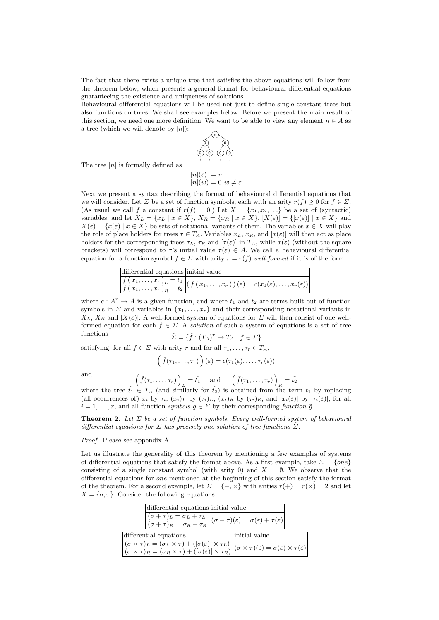The fact that there exists a unique tree that satisfies the above equations will follow from the theorem below, which presents a general format for behavioural differential equations guaranteeing the existence and uniqueness of solutions.

Behavioural differential equations will be used not just to define single constant trees but also functions on trees. We shall see examples below. Before we present the main result of this section, we need one more definition. We want to be able to view any element  $n \in A$  as a tree (which we will denote by  $[n]$ ):

The tree  $[n]$  is formally defined as

$$
[n](\varepsilon) = n
$$
  

$$
[n](w) = 0 \ w \neq \varepsilon
$$

0 (0 0 n

Next we present a syntax describing the format of behavioural differential equations that we will consider. Let  $\Sigma$  be a set of function symbols, each with an arity  $r(f) \geq 0$  for  $f \in \Sigma$ . (As usual we call f a constant if  $r(f) = 0$ .) Let  $X = \{x_1, x_2, ...\}$  be a set of (syntactic) variables, and let  $X_L = \{x_L | x \in X\}$ ,  $X_R = \{x_R | x \in X\}$ ,  $[X(\varepsilon)] = \{[x(\varepsilon)] | x \in X\}$  and  $X(\varepsilon) = \{x(\varepsilon) \mid x \in X\}$  be sets of notational variants of them. The variables  $x \in X$  will play the role of place holders for trees  $\tau \in T_A$ . Variables  $x_L$ ,  $x_R$ , and  $[x(\varepsilon)]$  will then act as place holders for the corresponding trees  $\tau_L$ ,  $\tau_R$  and  $[\tau(\varepsilon)]$  in  $T_A$ , while  $x(\varepsilon)$  (without the square brackets) will correspond to  $\tau$ 's initial value  $\tau(\varepsilon) \in A$ . We call a behavioural differential equation for a function symbol  $f \in \Sigma$  with arity  $r = r(f)$  well-formed if it is of the form

| differential equations initial value |                                                                                                                                                                      |
|--------------------------------------|----------------------------------------------------------------------------------------------------------------------------------------------------------------------|
|                                      | $\begin{bmatrix} f(x_1,\ldots,x_r)_L = t_1 \ f(x_1,\ldots,x_r)_R = t_2 \end{bmatrix} (f(x_1,\ldots,x_r))(\varepsilon) = c(x_1(\varepsilon),\ldots,x_r(\varepsilon))$ |

where  $c: A^r \to A$  is a given function, and where  $t_1$  and  $t_2$  are terms built out of function symbols in  $\Sigma$  and variables in  $\{x_1, \ldots, x_r\}$  and their corresponding notational variants in  $X_L$ ,  $X_R$  and  $[X(\varepsilon)]$ . A well-formed system of equations for  $\Sigma$  will then consist of one wellformed equation for each  $f \in \Sigma$ . A solution of such a system of equations is a set of tree functions

$$
\tilde{\Sigma} = \{ \tilde{f} : (T_A)^r \to T_A \mid f \in \Sigma \}
$$

satisfying, for all  $f \in \Sigma$  with arity r and for all  $\tau_1, \ldots, \tau_r \in T_A$ ,

$$
\left(\tilde{f}(\tau_1,\ldots,\tau_r)\right)(\varepsilon)=c(\tau_1(\varepsilon),\ldots,\tau_r(\varepsilon))
$$

and  $($ 

where the tree 
$$
\tilde{t}_1 \in T_A
$$
 (and similarly for  $\tilde{t}_2$ ) is obtained from the term  $t_1$  by replacing  
(all occurrences of)  $x_i$  by  $\tau_i$ ,  $(x_i)_L$  by  $(\tau_i)_L$ ,  $(x_i)_R$  by  $(\tau_i)_R$ , and  $[x_i(\varepsilon)]$  by  $[\tau_i(\varepsilon)]$ , for all  $i = 1, ..., r$ , and all function symbols  $g \in \Sigma$  by their corresponding function  $\tilde{g}$ .

**Theorem 2.** Let  $\Sigma$  be a set of function symbols. Every well-formed system of behavioural differential equations for  $\Sigma$  has precisely one solution of tree functions  $\Sigma$ .

Proof. Please see appendix A.

Let us illustrate the generality of this theorem by mentioning a few examples of systems of differential equations that satisfy the format above. As a first example, take  $\Sigma = \{one\}$ consisting of a single constant symbol (with arity 0) and  $X = \emptyset$ . We observe that the differential equations for one mentioned at the beginning of this section satisfy the format of the theorem. For a second example, let  $\Sigma = \{+, \times\}$  with arities  $r(+) = r(\times) = 2$  and let  $X = {\sigma, \tau}$ . Consider the following equations:

| differential equations initial value |                                                                                                                                                                                                                                                                                                                                                                                                                                                                   |
|--------------------------------------|-------------------------------------------------------------------------------------------------------------------------------------------------------------------------------------------------------------------------------------------------------------------------------------------------------------------------------------------------------------------------------------------------------------------------------------------------------------------|
|                                      | $\begin{bmatrix}\n(\sigma + \tau)_L = \sigma_L + \tau_L \\ (\sigma + \tau)_R = \sigma_R + \tau_R\n\end{bmatrix} (\sigma + \tau)(\varepsilon) = \sigma(\varepsilon) + \tau(\varepsilon)\n\end{bmatrix}$                                                                                                                                                                                                                                                            |
| differential equations               | initial value                                                                                                                                                                                                                                                                                                                                                                                                                                                     |
|                                      | $\begin{array}{l} \left  \left( \sigma \times \tau \right)_{L} = \left( \sigma_{L} \times \tau \right) + \left( \left[ \sigma(\varepsilon) \right] \times \tau_{L} \right) \\ \left( \sigma \times \tau \right)_{R} = \left( \sigma_{R} \times \tau \right) + \left( \left[ \sigma(\varepsilon) \right] \times \tau_{R} \right) \end{array} \big  \left( \sigma \times \tau \right) \! \left( \varepsilon \right) = \sigma(\varepsilon) \times \tau(\varepsilon)$ |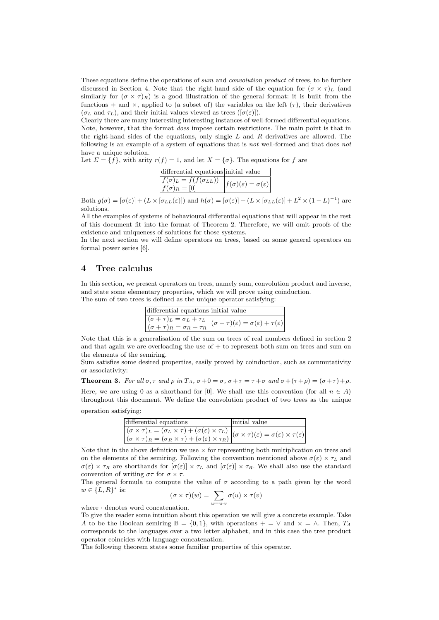These equations define the operations of sum and convolution product of trees, to be further discussed in Section 4. Note that the right-hand side of the equation for  $(\sigma \times \tau)$ <sub>L</sub> (and similarly for  $(\sigma \times \tau)_R$ ) is a good illustration of the general format: it is built from the functions + and  $\times$ , applied to (a subset of) the variables on the left  $(\tau)$ , their derivatives  $(\sigma_L$  and  $\tau_L$ ), and their initial values viewed as trees  $([\sigma(\varepsilon)])$ .

Clearly there are many interesting interesting instances of well-formed differential equations. Note, however, that the format does impose certain restrictions. The main point is that in the right-hand sides of the equations, only single  $L$  and  $R$  derivatives are allowed. The following is an example of a system of equations that is not well-formed and that does not have a unique solution.

Let  $\Sigma = \{f\}$ , with arity  $r(f) = 1$ , and let  $X = \{\sigma\}$ . The equations for f are

| differential equations initial value                  |                                                |
|-------------------------------------------------------|------------------------------------------------|
| $f(\sigma)L = f(f(\sigma_{LL}))$<br>$f(\sigma)_R=[0]$ | $f(\sigma)(\varepsilon) = \sigma(\varepsilon)$ |

Both  $g(\sigma) = [\sigma(\varepsilon)] + (L \times [\sigma_{LL}(\varepsilon)])$  and  $h(\sigma) = [\sigma(\varepsilon)] + (L \times [\sigma_{LL}(\varepsilon)] + L^2 \times (1 - L)^{-1})$  are solutions.

All the examples of systems of behavioural differential equations that will appear in the rest of this document fit into the format of Theorem 2. Therefore, we will omit proofs of the existence and uniqueness of solutions for those systems.

In the next section we will define operators on trees, based on some general operators on formal power series [6].

## 4 Tree calculus

In this section, we present operators on trees, namely sum, convolution product and inverse, and state some elementary properties, which we will prove using coinduction. The sum of two trees is defined as the unique operator satisfying:

| differential equations initial value |                                                                                                                                                                                   |
|--------------------------------------|-----------------------------------------------------------------------------------------------------------------------------------------------------------------------------------|
|                                      | $\begin{vmatrix}\n(\sigma+\tau)_L = \sigma_L + \tau_L \\ (\sigma+\tau)_R = \sigma_R + \tau_R\n\end{vmatrix} (\sigma+\tau)(\varepsilon) = \sigma(\varepsilon) + \tau(\varepsilon)$ |
|                                      |                                                                                                                                                                                   |

Note that this is a generalisation of the sum on trees of real numbers defined in section 2 and that again we are overloading the use of  $+$  to represent both sum on trees and sum on the elements of the semiring.

Sum satisfies some desired properties, easily proved by coinduction, such as commutativity or associativity:

**Theorem 3.** For all  $\sigma$ ,  $\tau$  and  $\rho$  in  $T_A$ ,  $\sigma + 0 = \sigma$ ,  $\sigma + \tau = \tau + \sigma$  and  $\sigma + (\tau + \rho) = (\sigma + \tau) + \rho$ .

Here, we are using 0 as a shorthand for [0]. We shall use this convention (for all  $n \in A$ ) throughout this document. We define the convolution product of two trees as the unique

operation satisfying:

| differential equations                                                                                                                                                                                                                                                                                         | initial value |
|----------------------------------------------------------------------------------------------------------------------------------------------------------------------------------------------------------------------------------------------------------------------------------------------------------------|---------------|
| $\boxed{ \begin{matrix} (\sigma \times \tau)_L = (\sigma_L \times \tau) + (\sigma(\varepsilon) \times \tau_L) \\ (\sigma \times \tau)_R = (\sigma_R \times \tau) + (\sigma(\varepsilon) \times \tau_R) \end{matrix} \bigg  (\sigma \times \tau)(\varepsilon) = \sigma(\varepsilon) \times \tau(\varepsilon) }$ |               |
|                                                                                                                                                                                                                                                                                                                |               |

Note that in the above definition we use  $\times$  for representing both multiplication on trees and on the elements of the semiring. Following the convention mentioned above  $\sigma(\varepsilon) \times \tau_L$  and  $\sigma(\varepsilon) \times \tau_R$  are shorthands for  $[\sigma(\varepsilon)] \times \tau_L$  and  $[\sigma(\varepsilon)] \times \tau_R$ . We shall also use the standard convention of writing  $\sigma\tau$  for  $\sigma \times \tau$ .

The general formula to compute the value of  $\sigma$  according to a path given by the word  $w \in \{L, R\}^*$  is:

$$
(\sigma \times \tau)(w) = \sum_{w=u \cdot v} \sigma(u) \times \tau(v)
$$

where · denotes word concatenation.

To give the reader some intuition about this operation we will give a concrete example. Take A to be the Boolean semiring  $\mathbb{B} = \{0, 1\}$ , with operations  $+= \vee$  and  $\times = \wedge$ . Then,  $T_A$ corresponds to the languages over a two letter alphabet, and in this case the tree product operator coincides with language concatenation.

The following theorem states some familiar properties of this operator.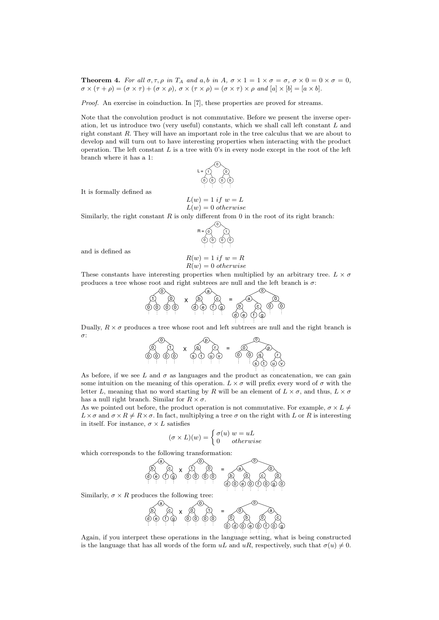**Theorem 4.** For all  $\sigma$ ,  $\tau$ ,  $\rho$  in  $T_A$  and  $a$ ,  $b$  in  $A$ ,  $\sigma \times 1 = 1 \times \sigma = \sigma$ ,  $\sigma \times 0 = 0 \times \sigma = 0$ ,  $\sigma \times (\tau + \rho) = (\sigma \times \tau) + (\sigma \times \rho), \ \sigma \times (\tau \times \rho) = (\sigma \times \tau) \times \rho \text{ and } [a] \times [b] = [a \times b].$ 

Proof. An exercise in coinduction. In [7], these properties are proved for streams.

Note that the convolution product is not commutative. Before we present the inverse operation, let us introduce two (very useful) constants, which we shall call left constant L and right constant R. They will have an important role in the tree calculus that we are about to develop and will turn out to have interesting properties when interacting with the product operation. The left constant  $L$  is a tree with  $0$ 's in every node except in the root of the left branch where it has a 1:



It is formally defined as

$$
L(w) = 1 \text{ if } w = L
$$
  

$$
L(w) = 0 \text{ otherwise}
$$

Similarly, the right constant  $R$  is only different from 0 in the root of its right branch:



and is defined as

$$
R(w) = 1 \text{ if } w = R
$$
  

$$
R(w) = 0 \text{ otherwise}
$$

These constants have interesting properties when multiplied by an arbitrary tree.  $L \times \sigma$ produces a tree whose root and right subtrees are null and the left branch is  $\sigma$ :



Dually,  $R \times \sigma$  produces a tree whose root and left subtrees are null and the right branch is σ:



As before, if we see L and  $\sigma$  as languages and the product as concatenation, we can gain some intuition on the meaning of this operation.  $L \times \sigma$  will prefix every word of  $\sigma$  with the letter L, meaning that no word starting by R will be an element of  $L \times \sigma$ , and thus,  $L \times \sigma$ has a null right branch. Similar for  $R \times \sigma$ .

As we pointed out before, the product operation is not commutative. For example,  $\sigma \times L \neq$  $L \times \sigma$  and  $\sigma \times R \neq R \times \sigma$ . In fact, multiplying a tree  $\sigma$  on the right with L or R is interesting in itself. For instance,  $\sigma \times L$  satisfies

$$
(\sigma \times L)(w) = \begin{cases} \sigma(u) & w = uL \\ 0 & otherwise \end{cases}
$$

which corresponds to the following transformation:



Similarly,  $\sigma \times R$  produces the following tree:



Again, if you interpret these operations in the language setting, what is being constructed is the language that has all words of the form uL and uR, respectively, such that  $\sigma(u) \neq 0$ .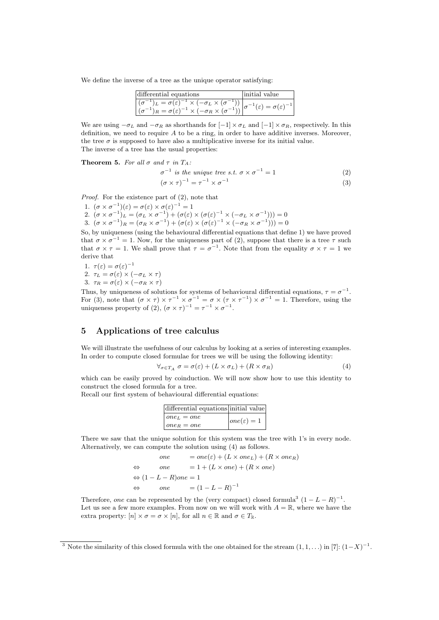We define the inverse of a tree as the unique operator satisfying:

| differential equations                                                                                                                                                                      | initial value                                                      |
|---------------------------------------------------------------------------------------------------------------------------------------------------------------------------------------------|--------------------------------------------------------------------|
| $(\sigma^{-1})_L = \sigma(\varepsilon)^{-1} \times (-\sigma_L \times (\sigma^{-1}))$<br>$\left  (\sigma^{-1})_R = \sigma(\varepsilon)^{-1} \times (-\sigma_R \times (\sigma^{-1})) \right $ | $\therefore  \sigma^{-1}(\varepsilon)  = \sigma(\varepsilon)^{-1}$ |

We are using  $-\sigma_L$  and  $-\sigma_R$  as shorthands for  $[-1] \times \sigma_L$  and  $[-1] \times \sigma_R$ , respectively. In this definition, we need to require  $A$  to be a ring, in order to have additive inverses. Moreover, the tree  $\sigma$  is supposed to have also a multiplicative inverse for its initial value. The inverse of a tree has the usual properties:

**Theorem 5.** For all  $\sigma$  and  $\tau$  in  $T_A$ :

$$
\sigma^{-1} \text{ is the unique tree s.t. } \sigma \times \sigma^{-1} = 1 \tag{2}
$$

$$
(\sigma \times \tau)^{-1} = \tau^{-1} \times \sigma^{-1} \tag{3}
$$

Proof. For the existence part of (2), note that

```
1. (\sigma \times \sigma^{-1})(\varepsilon) = \sigma(\varepsilon) \times \sigma(\varepsilon)^{-1} = 1
```
2.  $(\sigma \times \sigma^{-1})_L = (\sigma_L \times \sigma^{-1}) + (\sigma(\varepsilon) \times (\sigma(\varepsilon)^{-1} \times (-\sigma_L \times \sigma^{-1}))) = 0$ 3.  $(\sigma \times \sigma^{-1})_R = (\sigma_R \times \sigma^{-1}) + (\sigma(\varepsilon) \times (\sigma(\varepsilon)^{-1} \times (-\sigma_R \times \sigma^{-1}))) = 0$ 

So, by uniqueness (using the behavioural differential equations that define 1) we have proved that  $\sigma \times \sigma^{-1} = 1$ . Now, for the uniqueness part of (2), suppose that there is a tree  $\tau$  such that  $\sigma \times \tau = 1$ . We shall prove that  $\tau = \sigma^{-1}$ . Note that from the equality  $\sigma \times \tau = 1$  we derive that

1. 
$$
\tau(\varepsilon) = \sigma(\varepsilon)^{-1}
$$
  
\n2.  $\tau_L = \sigma(\varepsilon) \times (-\sigma_L \times \tau)$   
\n3.  $\tau_R = \sigma(\varepsilon) \times (-\sigma_R \times \tau)$ 

Thus, by uniqueness of solutions for systems of behavioural differential equations,  $\tau = \sigma^{-1}$ . For (3), note that  $(\sigma \times \tau) \times \tau^{-1} \times \sigma^{-1} = \sigma \times (\tau \times \tau^{-1}) \times \sigma^{-1} = 1$ . Therefore, using the uniqueness property of (2),  $(\sigma \times \tau)^{-1} = \tau^{-1} \times \sigma^{-1}$ .

## 5 Applications of tree calculus

We will illustrate the usefulness of our calculus by looking at a series of interesting examples. In order to compute closed formulae for trees we will be using the following identity:

$$
\forall_{\sigma \in T_A} \sigma = \sigma(\varepsilon) + (L \times \sigma_L) + (R \times \sigma_R) \tag{4}
$$

which can be easily proved by coinduction. We will now show how to use this identity to construct the closed formula for a tree.

Recall our first system of behavioural differential equations:

| differential equations initial value |                        |
|--------------------------------------|------------------------|
| $\vert$ one <sub>L</sub> = one       | $ one(\varepsilon) =1$ |
| $ one_R = one$                       |                        |

There we saw that the unique solution for this system was the tree with 1's in every node. Alternatively, we can compute the solution using (4) as follows.

$$
one = one(\varepsilon) + (L \times one_L) + (R \times one_R)
$$
  
\n
$$
\Leftrightarrow one = 1 + (L \times one) + (R \times one)
$$
  
\n
$$
\Leftrightarrow (1 - L - R)one = 1
$$
  
\n
$$
\Leftrightarrow one = (1 - L - R)^{-1}
$$

Therefore, one can be represented by the (very compact) closed formula<sup>3</sup>  $(1 - L - R)^{-1}$ . Let us see a few more examples. From now on we will work with  $A = \mathbb{R}$ , where we have the extra property:  $[n] \times \sigma = \sigma \times [n]$ , for all  $n \in \mathbb{R}$  and  $\sigma \in T_{\mathbb{R}}$ .

<sup>&</sup>lt;sup>3</sup> Note the similarity of this closed formula with the one obtained for the stream  $(1, 1, ...)$  in  $[7]$ :  $(1-X)^{-1}$ .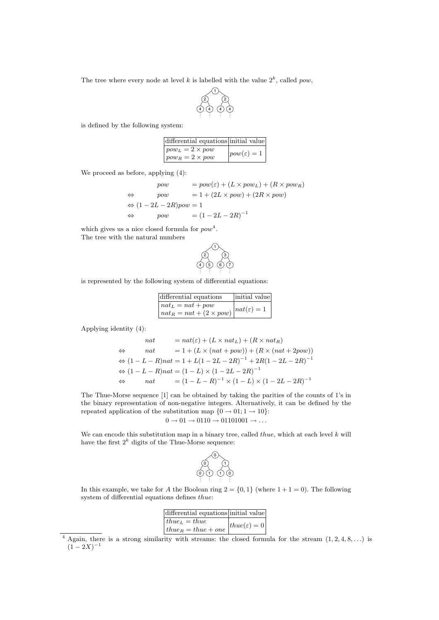The tree where every node at level k is labelled with the value  $2^k$ , called pow,



is defined by the following system:

| differential equations initial value |                        |
|--------------------------------------|------------------------|
| $\mid pow_L = 2 \times pow$          | $ pow(\varepsilon)=1 $ |
| $ pow_R = 2 \times pow$              |                        |

We proceed as before, applying (4):

$$
pow = pow(\varepsilon) + (L \times pow_L) + (R \times pow_R)
$$
  
\n
$$
\Leftrightarrow pow = 1 + (2L \times pow) + (2R \times pow)
$$
  
\n
$$
\Leftrightarrow (1 - 2L - 2R)pow = 1
$$
  
\n
$$
\Leftrightarrow pow = (1 - 2L - 2R)^{-1}
$$

which gives us a nice closed formula for  $pow<sup>4</sup>$ . The tree with the natural numbers



is represented by the following system of differential equations:

| differential equations         | initial value        |
|--------------------------------|----------------------|
| $nat_L = nat + pow$            | $hat(\varepsilon)=1$ |
| $nat_R = nat + (2 \times pow)$ |                      |

Applying identity (4):

$$
nat = nat(\varepsilon) + (L \times nat_L) + (R \times nat_R)
$$
  
\n
$$
\Leftrightarrow nat = 1 + (L \times (nat + pow)) + (R \times (nat + 2pow))
$$
  
\n
$$
\Leftrightarrow (1 - L - R)nat = 1 + L(1 - 2L - 2R)^{-1} + 2R(1 - 2L - 2R)^{-1}
$$
  
\n
$$
\Leftrightarrow (1 - L - R)nat = (1 - L) \times (1 - 2L - 2R)^{-1}
$$
  
\n
$$
\Leftrightarrow nat = (1 - L - R)^{-1} \times (1 - L) \times (1 - 2L - 2R)^{-1}
$$

The Thue-Morse sequence [1] can be obtained by taking the parities of the counts of 1's in the binary representation of non-negative integers. Alternatively, it can be defined by the repeated application of the substitution map  $\{0 \rightarrow 01; 1 \rightarrow 10\}$ :

$$
0 \to 01 \to 0110 \to 01101001 \to \dots
$$

We can encode this substitution map in a binary tree, called *thue*, which at each level  $k$  will have the first  $2^k$  digits of the Thue-Morse sequence:



In this example, we take for A the Boolean ring  $2 = \{0, 1\}$  (where  $1 + 1 = 0$ ). The following system of differential equations defines thue:

| differential equations initial value |                         |
|--------------------------------------|-------------------------|
| $thueL = thue$                       |                         |
| $\vert$ thue $_R$ = thue + one       | $ thue(\varepsilon)=0 $ |

<sup>&</sup>lt;sup>4</sup> Again, there is a strong similarity with streams: the closed formula for the stream  $(1, 2, 4, 8, ...)$  is  $(1-2X)^{-1}$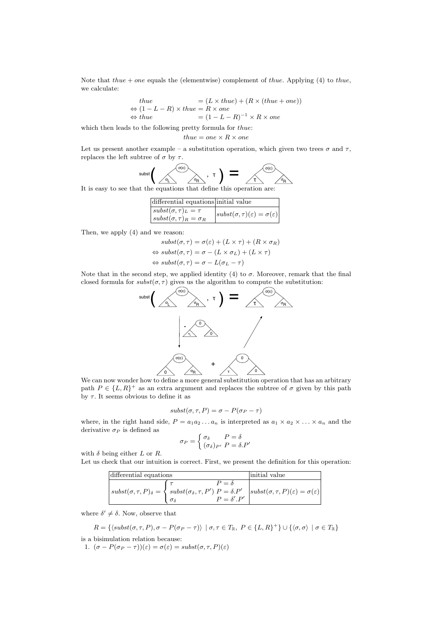Note that thue + one equals the (elementwise) complement of thue. Applying (4) to thue, we calculate:

*thue* = 
$$
(L \times thue) + (R \times (thue + one))
$$
  
\n⇒  $(1 - L - R) \times thue = R \times one$   
\n⇒ *thue* =  $(1 - L - R)^{-1} \times R \times one$ 

which then leads to the following pretty formula for *thue*:

 $thue = one \times R \times one$ 

Let us present another example – a substitution operation, which given two trees  $\sigma$  and  $\tau$ , replaces the left subtree of  $\sigma$  by  $\tau$ .

$$
\text{subst}\left(\begin{array}{c|c}\hline\text{out}\end{array}\right),\ \tau\right)=\begin{array}{c|c}\hline\text{out}\end{array}
$$

It is easy to see that the equations that define this operation are:

| differential equations initial value      |                                                         |
|-------------------------------------------|---------------------------------------------------------|
| $\overline{subst}(\sigma, \tau)_L = \tau$ | $ subst(\sigma,\tau)(\varepsilon)=\sigma(\varepsilon) $ |
| $subst(\sigma, \tau)_R = \sigma_R$        |                                                         |

Then, we apply (4) and we reason:

$$
subst(\sigma, \tau) = \sigma(\varepsilon) + (L \times \tau) + (R \times \sigma_R)
$$
  
\n
$$
\Leftrightarrow subst(\sigma, \tau) = \sigma - (L \times \sigma_L) + (L \times \tau)
$$
  
\n
$$
\Leftrightarrow subst(\sigma, \tau) = \sigma - L(\sigma_L - \tau)
$$

Note that in the second step, we applied identity (4) to  $\sigma$ . Moreover, remark that the final closed formula for  $\text{subst}(\sigma, \tau)$  gives us the algorithm to compute the substitution:



We can now wonder how to define a more general substitution operation that has an arbitrary path  $P \in \{L, R\}^+$  as an extra argument and replaces the subtree of  $\sigma$  given by this path by  $\tau$ . It seems obvious to define it as

$$
subst(\sigma, \tau, P) = \sigma - P(\sigma_P - \tau)
$$

where, in the right hand side,  $P = a_1 a_2 ... a_n$  is interpreted as  $a_1 \times a_2 \times ... \times a_n$  and the derivative  $\sigma_P$  is defined as

$$
\sigma_P = \begin{cases} \sigma_{\delta} & P = \delta \\ (\sigma_{\delta})_{P'} & P = \delta.P' \end{cases}
$$

with  $\delta$  being either  $L$  or  $R$ .

Let us check that our intuition is correct. First, we present the definition for this operation:

| differential equations                                                                                                                                                                                                                                                                                  | initial value |
|---------------------------------------------------------------------------------------------------------------------------------------------------------------------------------------------------------------------------------------------------------------------------------------------------------|---------------|
| $P = \delta$<br>$\mathcal{L}_{\text{subst}}(\sigma, \tau, P)_{\delta} = \left\{ \begin{array}{l} \tau & \tau - \zeta \\ \text{subst}(\sigma_{\delta}, \tau, P') \ P = \delta.P' \\ \tau_{\delta} & P = \delta'.P' \end{array} \right  \text{subst}(\sigma, \tau, P)(\varepsilon) = \sigma(\varepsilon)$ |               |

where  $\delta' \neq \delta$ . Now, observe that

$$
R = \{ \langle \mathit{subst}(\sigma, \tau, P), \sigma - P(\sigma_P - \tau) \rangle \mid \sigma, \tau \in T_{\mathbb{R}}, \ P \in \{L, R\}^+ \} \cup \{ \langle \sigma, \sigma \rangle \mid \sigma \in T_{\mathbb{R}} \}
$$

is a bisimulation relation because:

1.  $(\sigma - P(\sigma_P - \tau))(\varepsilon) = \sigma(\varepsilon) = \text{subst}(\sigma, \tau, P)(\varepsilon)$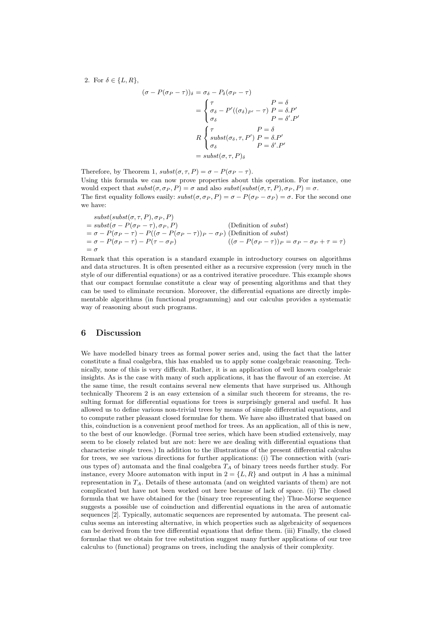2. For  $\delta \in \{L, R\},\$ 

$$
(\sigma - P(\sigma_P - \tau))_{\delta} = \sigma_{\delta} - P_{\delta}(\sigma_P - \tau)
$$
  
= 
$$
\begin{cases} \tau & P = \delta \\ \sigma_{\delta} - P'((\sigma_{\delta})_{P'} - \tau) & P = \delta.P' \\ \sigma_{\delta} & P = \delta'.P' \end{cases}
$$
  
R 
$$
\begin{cases} \tau & P = \delta \\ subst(\sigma_{\delta}, \tau, P') & P = \delta.P' \\ \sigma_{\delta} & P = \delta'.P' \\ \sigma_{\delta} & P = \delta'.P' \end{cases}
$$
  
= subst $(\sigma, \tau, P)_{\delta}$ 

Therefore, by Theorem 1,  $\text{subst}(\sigma, \tau, P) = \sigma - P(\sigma_P - \tau)$ . Using this formula we can now prove properties about this operation. For instance, one would expect that  $\mathit{subst}(\sigma, \sigma_P, P) = \sigma$  and also  $\mathit{subst}(\mathit{subst}(\sigma, \tau, P), \sigma_P, P) = \sigma$ . The first equality follows easily:  $\textit{subst}(\sigma, \sigma_P, P) = \sigma - P(\sigma_P - \sigma_P) = \sigma$ . For the second one we have:

$$
subst(subst(\sigma, \tau, P), \sigma_P, P)
$$
  
=  $subst(\sigma - P(\sigma_P - \tau), \sigma_P, P)$  (Definition of *subst*)  
=  $\sigma - P(\sigma_P - \tau) - P((\sigma - P(\sigma_P - \tau))_P - \sigma_P)$  (Definition of *subst*)  
=  $\sigma - P(\sigma_P - \tau) - P(\tau - \sigma_P)$  ( $(\sigma - P(\sigma_P - \tau))_P = \sigma_P - \sigma_P + \tau = \tau$ )  
=  $\sigma$ 

Remark that this operation is a standard example in introductory courses on algorithms and data structures. It is often presented either as a recursive expression (very much in the style of our differential equations) or as a contrived iterative procedure. This example shows that our compact formulae constitute a clear way of presenting algorithms and that they can be used to eliminate recursion. Moreover, the differential equations are directly implementable algorithms (in functional programming) and our calculus provides a systematic way of reasoning about such programs.

### 6 Discussion

We have modelled binary trees as formal power series and, using the fact that the latter constitute a final coalgebra, this has enabled us to apply some coalgebraic reasoning. Technically, none of this is very difficult. Rather, it is an application of well known coalgebraic insights. As is the case with many of such applications, it has the flavour of an exercise. At the same time, the result contains several new elements that have surprised us. Although technically Theorem 2 is an easy extension of a similar such theorem for streams, the resulting format for differential equations for trees is surprisingly general and useful. It has allowed us to define various non-trivial trees by means of simple differential equations, and to compute rather pleasant closed formulae for them. We have also illustrated that based on this, coinduction is a convenient proof method for trees. As an application, all of this is new, to the best of our knowledge. (Formal tree series, which have been studied extensively, may seem to be closely related but are not: here we are dealing with differential equations that characterise single trees.) In addition to the illustrations of the present differential calculus for trees, we see various directions for further applications: (i) The connection with (various types of) automata and the final coalgebra  $T_A$  of binary trees needs further study. For instance, every Moore automaton with input in  $2 = \{L, R\}$  and output in A has a minimal representation in TA. Details of these automata (and on weighted variants of them) are not complicated but have not been worked out here because of lack of space. (ii) The closed formula that we have obtained for the (binary tree representing the) Thue-Morse sequence suggests a possible use of coinduction and differential equations in the area of automatic sequences [2]. Typically, automatic sequences are represented by automata. The present calculus seems an interesting alternative, in which properties such as algebraicity of sequences can be derived from the tree differential equations that define them. (iii) Finally, the closed formulae that we obtain for tree substitution suggest many further applications of our tree calculus to (functional) programs on trees, including the analysis of their complexity.